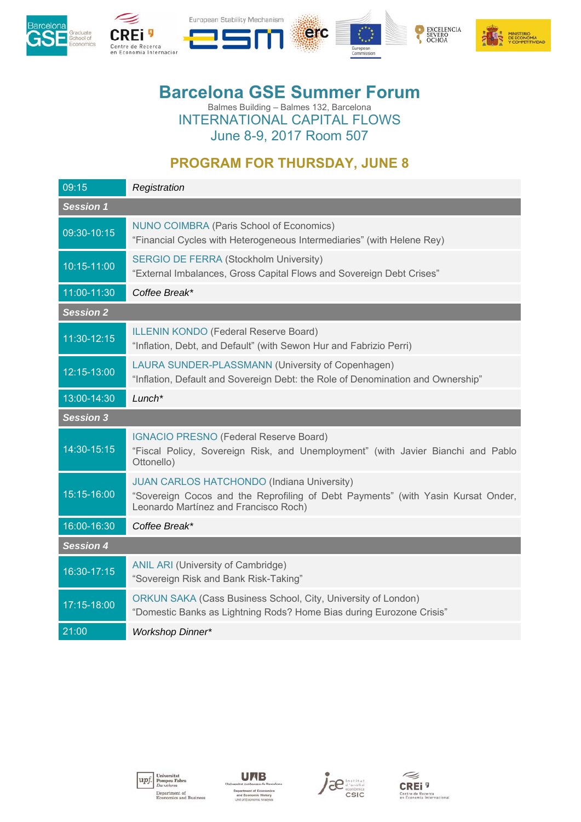





## **Barcelona GSE Summer Forum**  Balmes Building – Balmes 132, Barcelona INTERNATIONAL CAPITAL FLOWS

June 8-9, 2017 Room 507

## **PROGRAM FOR THURSDAY, JUNE 8**

| 09:15            | Registration                                                                                                                                                                   |
|------------------|--------------------------------------------------------------------------------------------------------------------------------------------------------------------------------|
| Session 1        |                                                                                                                                                                                |
| 09:30-10:15      | NUNO COIMBRA (Paris School of Economics)<br>"Financial Cycles with Heterogeneous Intermediaries" (with Helene Rey)                                                             |
| 10:15-11:00      | <b>SERGIO DE FERRA (Stockholm University)</b><br>"External Imbalances, Gross Capital Flows and Sovereign Debt Crises"                                                          |
| 11:00-11:30      | Coffee Break*                                                                                                                                                                  |
| <b>Session 2</b> |                                                                                                                                                                                |
| 11:30-12:15      | <b>ILLENIN KONDO (Federal Reserve Board)</b><br>"Inflation, Debt, and Default" (with Sewon Hur and Fabrizio Perri)                                                             |
| 12:15-13:00      | LAURA SUNDER-PLASSMANN (University of Copenhagen)<br>"Inflation, Default and Sovereign Debt: the Role of Denomination and Ownership"                                           |
| 13:00-14:30      | $L$ unch <sup>*</sup>                                                                                                                                                          |
| <b>Session 3</b> |                                                                                                                                                                                |
| 14:30-15:15      | <b>IGNACIO PRESNO (Federal Reserve Board)</b><br>"Fiscal Policy, Sovereign Risk, and Unemployment" (with Javier Bianchi and Pablo<br>Ottonello)                                |
| 15:15-16:00      | <b>JUAN CARLOS HATCHONDO (Indiana University)</b><br>"Sovereign Cocos and the Reprofiling of Debt Payments" (with Yasin Kursat Onder,<br>Leonardo Martínez and Francisco Roch) |
| 16:00-16:30      | Coffee Break*                                                                                                                                                                  |
| <b>Session 4</b> |                                                                                                                                                                                |
| 16:30-17:15      | ANIL ARI (University of Cambridge)<br>"Sovereign Risk and Bank Risk-Taking"                                                                                                    |
| 17:15-18:00      | ORKUN SAKA (Cass Business School, City, University of London)<br>"Domestic Banks as Lightning Rods? Home Bias during Eurozone Crisis"                                          |
| 21:00            | <b>Workshop Dinner*</b>                                                                                                                                                        |